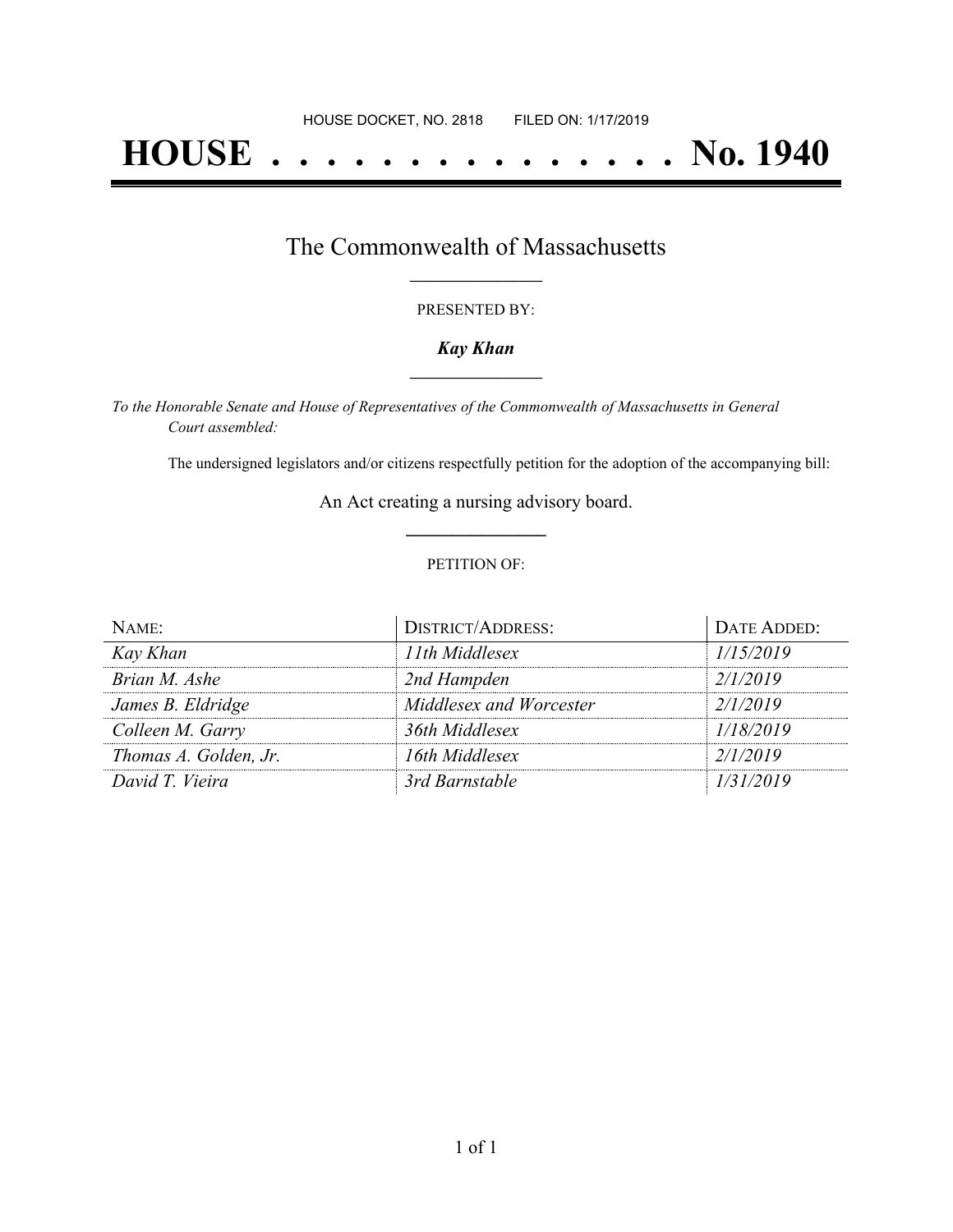# **HOUSE . . . . . . . . . . . . . . . No. 1940**

## The Commonwealth of Massachusetts **\_\_\_\_\_\_\_\_\_\_\_\_\_\_\_\_\_**

#### PRESENTED BY:

#### *Kay Khan* **\_\_\_\_\_\_\_\_\_\_\_\_\_\_\_\_\_**

*To the Honorable Senate and House of Representatives of the Commonwealth of Massachusetts in General Court assembled:*

The undersigned legislators and/or citizens respectfully petition for the adoption of the accompanying bill:

An Act creating a nursing advisory board. **\_\_\_\_\_\_\_\_\_\_\_\_\_\_\_**

#### PETITION OF:

| NAME:                 | <b>DISTRICT/ADDRESS:</b> | DATE ADDED: |
|-----------------------|--------------------------|-------------|
| Kay Khan              | 11th Middlesex           | 1/15/2019   |
| Brian M. Ashe         | 2nd Hampden              | 2/1/2019    |
| James B. Eldridge     | Middlesex and Worcester  | 2/1/2019    |
| Colleen M. Garry      | 36th Middlesex           | 1/18/2019   |
| Thomas A. Golden, Jr. | 16th Middlesex           | 2/1/2019    |
| David T. Vieira       | 3rd Barnstable           | 1/31/2019   |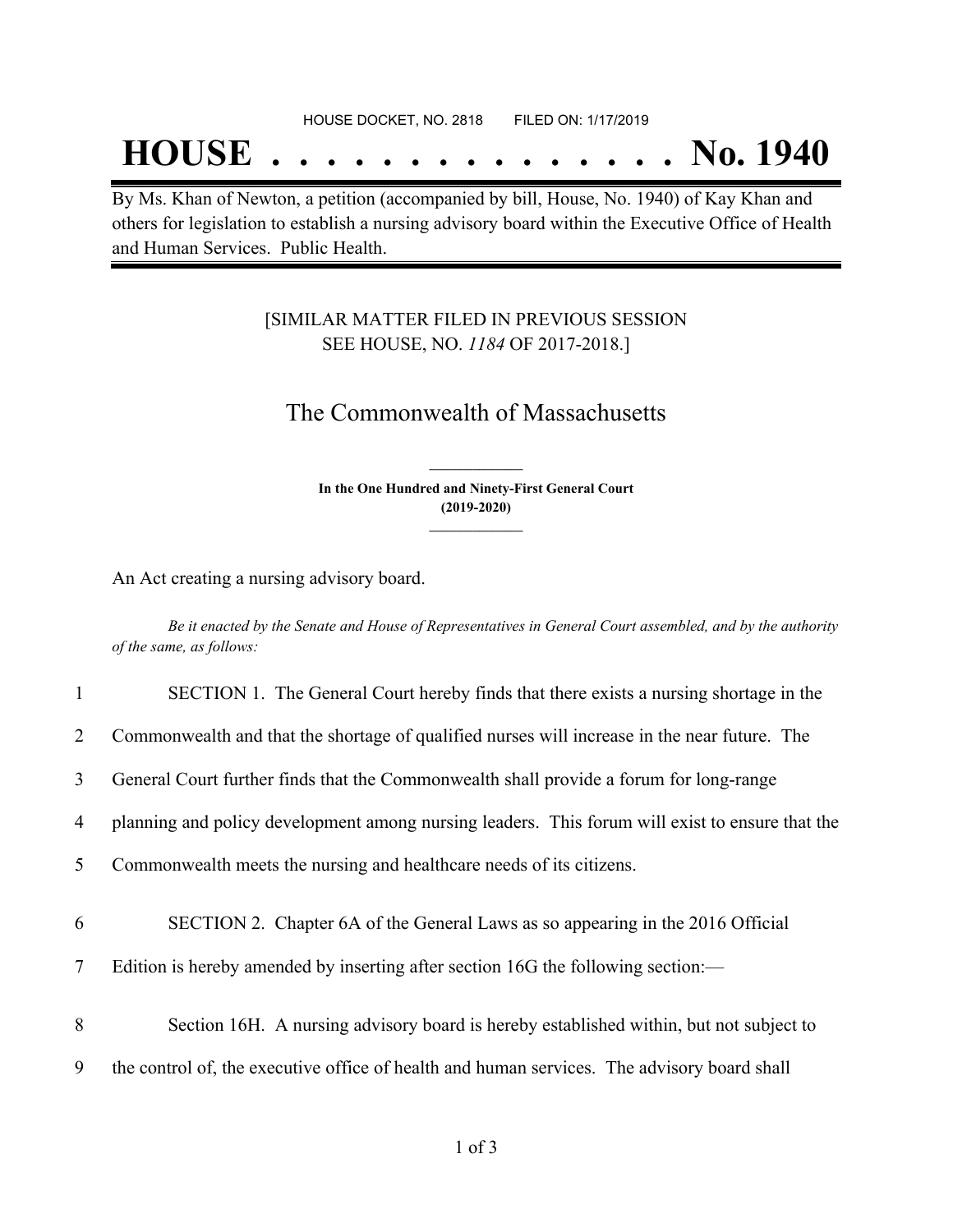## **HOUSE . . . . . . . . . . . . . . . No. 1940**

By Ms. Khan of Newton, a petition (accompanied by bill, House, No. 1940) of Kay Khan and others for legislation to establish a nursing advisory board within the Executive Office of Health and Human Services. Public Health.

### [SIMILAR MATTER FILED IN PREVIOUS SESSION SEE HOUSE, NO. *1184* OF 2017-2018.]

## The Commonwealth of Massachusetts

**In the One Hundred and Ninety-First General Court (2019-2020) \_\_\_\_\_\_\_\_\_\_\_\_\_\_\_**

**\_\_\_\_\_\_\_\_\_\_\_\_\_\_\_**

An Act creating a nursing advisory board.

Be it enacted by the Senate and House of Representatives in General Court assembled, and by the authority *of the same, as follows:*

| $\mathbf{1}$ | SECTION 1. The General Court hereby finds that there exists a nursing shortage in the           |
|--------------|-------------------------------------------------------------------------------------------------|
| 2            | Commonwealth and that the shortage of qualified nurses will increase in the near future. The    |
| 3            | General Court further finds that the Commonwealth shall provide a forum for long-range          |
| 4            | planning and policy development among nursing leaders. This forum will exist to ensure that the |
| 5            | Commonwealth meets the nursing and healthcare needs of its citizens.                            |
| 6            | SECTION 2. Chapter 6A of the General Laws as so appearing in the 2016 Official                  |
| $\tau$       | Edition is hereby amended by inserting after section 16G the following section:—                |
| 8            | Section 16H. A nursing advisory board is hereby established within, but not subject to          |
| 9            | the control of, the executive office of health and human services. The advisory board shall     |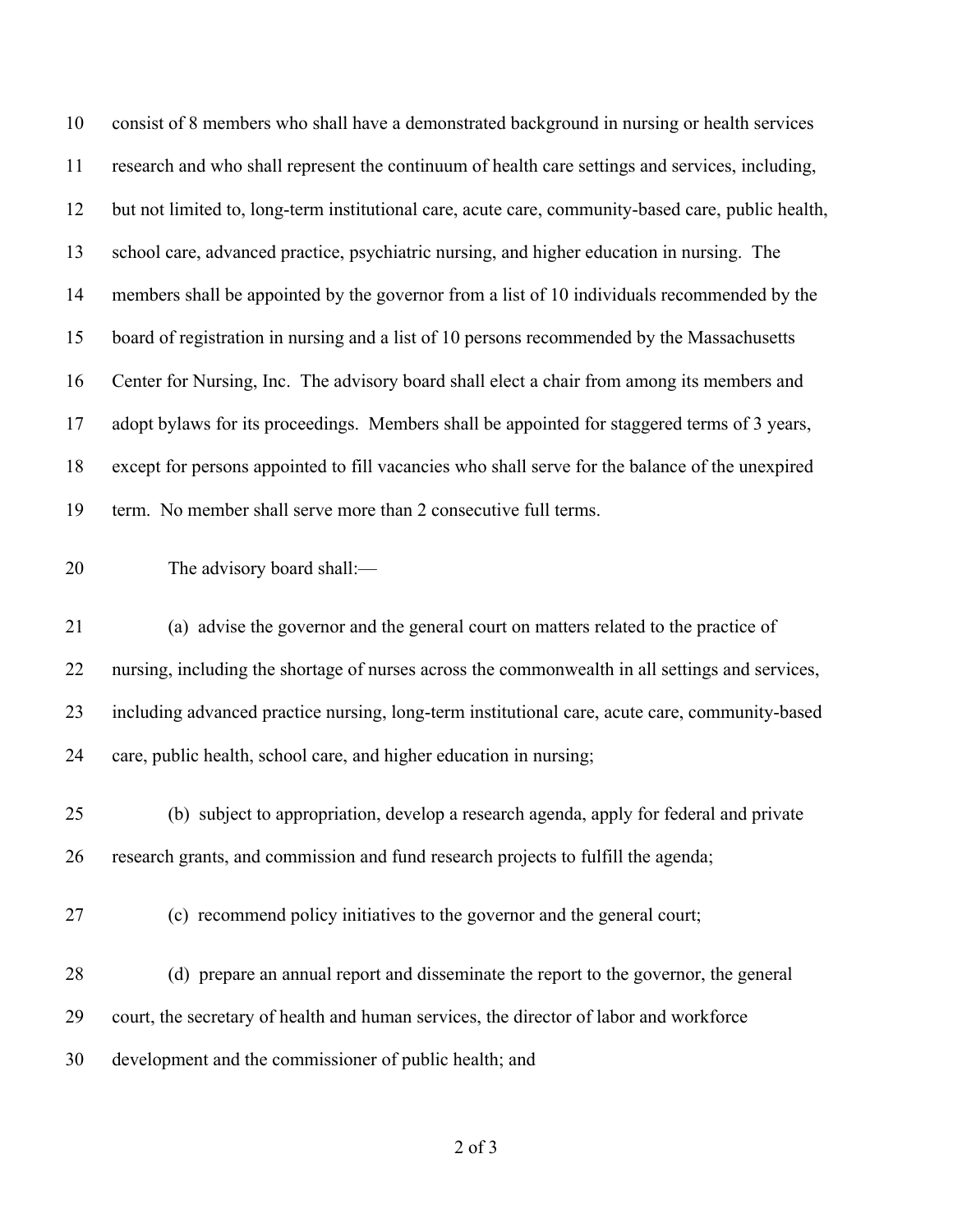| 10 | consist of 8 members who shall have a demonstrated background in nursing or health services        |
|----|----------------------------------------------------------------------------------------------------|
| 11 | research and who shall represent the continuum of health care settings and services, including,    |
| 12 | but not limited to, long-term institutional care, acute care, community-based care, public health, |
| 13 | school care, advanced practice, psychiatric nursing, and higher education in nursing. The          |
| 14 | members shall be appointed by the governor from a list of 10 individuals recommended by the        |
| 15 | board of registration in nursing and a list of 10 persons recommended by the Massachusetts         |
| 16 | Center for Nursing, Inc. The advisory board shall elect a chair from among its members and         |
| 17 | adopt bylaws for its proceedings. Members shall be appointed for staggered terms of 3 years,       |
| 18 | except for persons appointed to fill vacancies who shall serve for the balance of the unexpired    |
| 19 | term. No member shall serve more than 2 consecutive full terms.                                    |
| 20 | The advisory board shall:-                                                                         |
| 21 | (a) advise the governor and the general court on matters related to the practice of                |
| 22 | nursing, including the shortage of nurses across the commonwealth in all settings and services,    |
| 23 | including advanced practice nursing, long-term institutional care, acute care, community-based     |
| 24 | care, public health, school care, and higher education in nursing;                                 |
| 25 | (b) subject to appropriation, develop a research agenda, apply for federal and private             |
| 26 | research grants, and commission and fund research projects to fulfill the agenda;                  |
| 27 |                                                                                                    |
|    | (c) recommend policy initiatives to the governor and the general court;                            |
| 28 | (d) prepare an annual report and disseminate the report to the governor, the general               |
| 29 | court, the secretary of health and human services, the director of labor and workforce             |
| 30 | development and the commissioner of public health; and                                             |

of 3